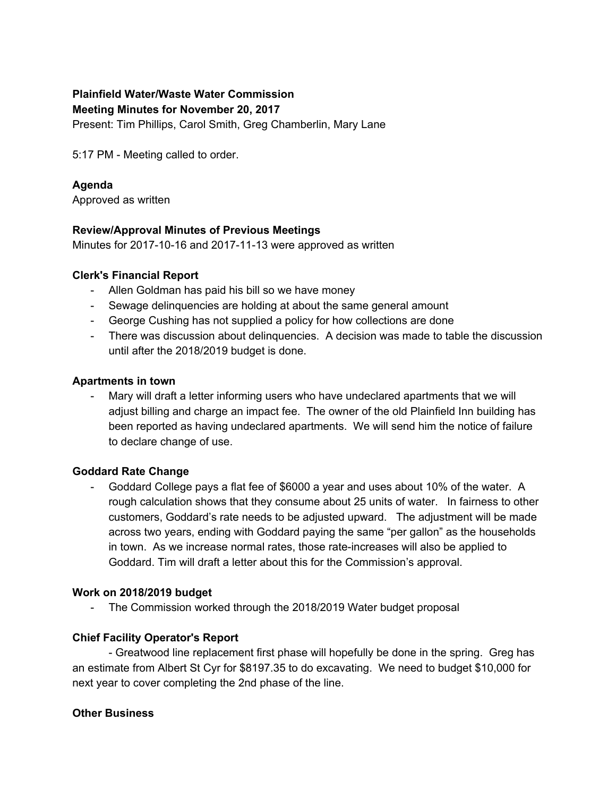# **Plainfield Water/Waste Water Commission**

**Meeting Minutes for November 20, 2017**

Present: Tim Phillips, Carol Smith, Greg Chamberlin, Mary Lane

5:17 PM - Meeting called to order.

# **Agenda**

Approved as written

# **Review/Approval Minutes of Previous Meetings**

Minutes for 2017-10-16 and 2017-11-13 were approved as written

#### **Clerk's Financial Report**

- Allen Goldman has paid his bill so we have money
- Sewage delinquencies are holding at about the same general amount
- George Cushing has not supplied a policy for how collections are done
- There was discussion about delinquencies. A decision was made to table the discussion until after the 2018/2019 budget is done.

#### **Apartments in town**

- Mary will draft a letter informing users who have undeclared apartments that we will adjust billing and charge an impact fee. The owner of the old Plainfield Inn building has been reported as having undeclared apartments. We will send him the notice of failure to declare change of use.

# **Goddard Rate Change**

- Goddard College pays a flat fee of \$6000 a year and uses about 10% of the water. A rough calculation shows that they consume about 25 units of water. In fairness to other customers, Goddard's rate needs to be adjusted upward. The adjustment will be made across two years, ending with Goddard paying the same "per gallon" as the households in town. As we increase normal rates, those rate-increases will also be applied to Goddard. Tim will draft a letter about this for the Commission's approval.

# **Work on 2018/2019 budget**

- The Commission worked through the 2018/2019 Water budget proposal

# **Chief Facility Operator's Report**

- Greatwood line replacement first phase will hopefully be done in the spring. Greg has an estimate from Albert St Cyr for \$8197.35 to do excavating. We need to budget \$10,000 for next year to cover completing the 2nd phase of the line.

#### **Other Business**